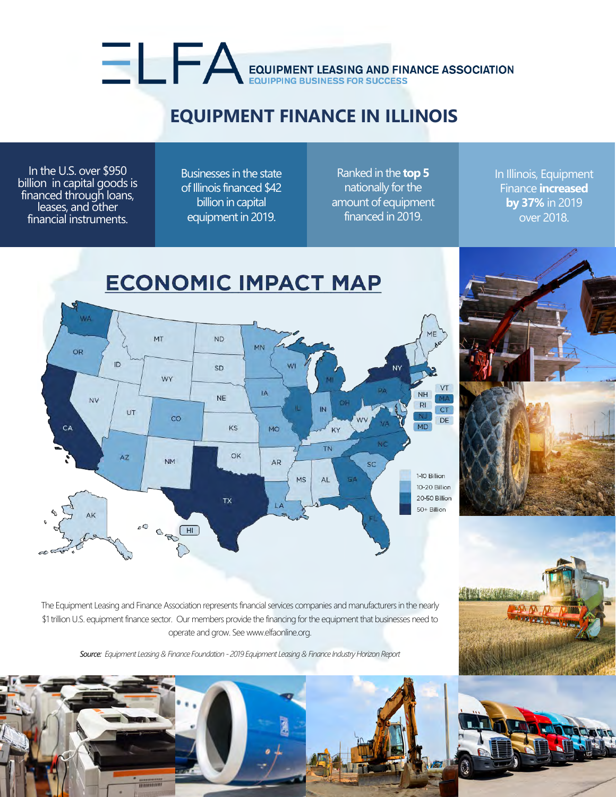## **EQUIPMENT FINANCE IN ILLINOIS**

EQUIPMENT LEASING AND FINANCE ASSOCIATION

In the U.S. over \$950 billion in capital goods is financed through loans, leases, and other financial instruments.

Businesses in the state of Illinois financed \$42 billion in capital equipment in 2019.

Ranked in the **top 5** nationally for the amount of equipment financed in 2019.

In Illinois, Equipment Finance **increased by 37%** in 2019 over 2018.





The Equipment Leasing and Finance Association represents financial services companies and manufacturers in the nearly \$1 trillion U.S. equipment finance sector. Our members provide the financing for the equipment that businesses need to operate and grow. See www.elfaonline.org.

*Source: Equipment Leasing & Finance Foundation - 2019 Equipment Leasing & Finance Industry Horizon Report*